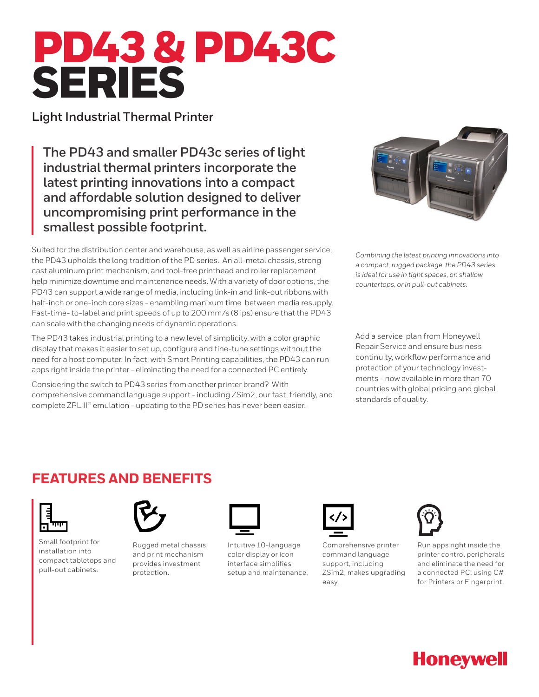# PD43 & PD43C SERIES

**Light Industrial Thermal Printer**

**The PD43 and smaller PD43c series of light industrial thermal printers incorporate the latest printing innovations into a compact and affordable solution designed to deliver uncompromising print performance in the smallest possible footprint.**

Suited for the distribution center and warehouse, as well as airline passenger service, the PD43 upholds the long tradition of the PD series. An all-metal chassis, strong cast aluminum print mechanism, and tool-free printhead and roller replacement help minimize downtime and maintenance needs. With a variety of door options, the PD43 can support a wide range of media, including link-in and link-out ribbons with half-inch or one-inch core sizes - enambling manixum time between media resupply. Fast-time- to-label and print speeds of up to 200 mm/s (8 ips) ensure that the PD43 can scale with the changing needs of dynamic operations.

The PD43 takes industrial printing to a new level of simplicity, with a color graphic display that makes it easier to set up, configure and fine-tune settings without the need for a host computer. In fact, with Smart Printing capabilities, the PD43 can run apps right inside the printer - eliminating the need for a connected PC entirely.

Considering the switch to PD43 series from another printer brand? With comprehensive command language support - including ZSim2, our fast, friendly, and complete ZPL II® emulation - updating to the PD series has never been easier.



*Combining the latest printing innovations into a compact, rugged package, the PD43 series is ideal for use in tight spaces, on shallow countertops, or in pull-out cabinets.*

Add a service plan from Honeywell Repair Service and ensure business continuity, workflow performance and protection of your technology investments - now available in more than 70 countries with global pricing and global standards of quality.

## **FEATURES AND BENEFITS**



Small footprint for installation into compact tabletops and pull-out cabinets.



Rugged metal chassis and print mechanism provides investment protection.



Intuitive 10-language color display or icon interface simplifies setup and maintenance.



Comprehensive printer command language support, including ZSim2, makes upgrading easy.



Run apps right inside the printer control peripherals and eliminate the need for a connected PC, using C# for Printers or Fingerprint.